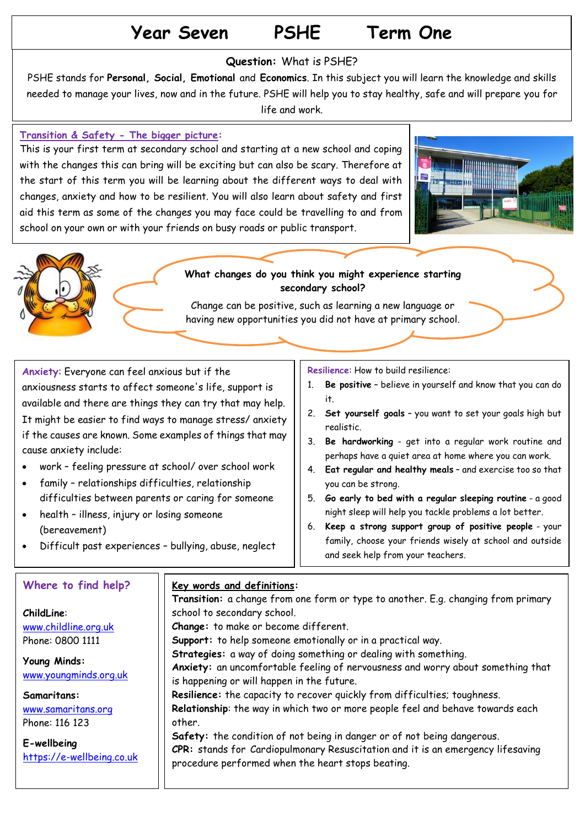# **Year Seven PSHE Term One**

#### **Question:** What is PSHE?

PSHE stands for **Personal, Social, Emotional** and **Economics**. In this subject you will learn the knowledge and skills needed to manage your lives, now and in the future. PSHE will help you to stay healthy, safe and will prepare you for life and work.

#### **Transition & Safety - The bigger picture:**

This is your first term at secondary school and starting at a new school and coping with the changes this can bring will be exciting but can also be scary. Therefore at the start of this term you will be learning about the different ways to deal with changes, anxiety and how to be resilient. You will also learn about safety and first aid this term as some of the changes you may face could be travelling to and from school on your own or with your friends on busy roads or public transport.







Change can be positive, such as learning a new language or having new opportunities you did not have at primary school.

**Anxiety**: Everyone can feel anxious but if the anxiousness starts to affect someone's life, support is available and there are things they can try that may help. It might be easier to find ways to manage stress/ anxiety if the causes are known. Some examples of things that may cause anxiety include:

- work feeling pressure at school/ over school work
- family relationships difficulties, relationship difficulties between parents or caring for someone
- health illness, injury or losing someone (bereavement)
- Difficult past experiences bullying, abuse, neglect

**Resilience**: How to build resilience:

- 1. **Be positive** believe in yourself and know that you can do it.
- 2. **Set yourself goals** you want to set your goals high but realistic.
- 3. **Be hardworking** get into a regular work routine and perhaps have a quiet area at home where you can work.
- 4. **Eat regular and healthy meals** and exercise too so that you can be strong.
- 5. **Go early to bed with a regular sleeping routine** a good night sleep will help you tackle problems a lot better.
- 6. **Keep a strong support group of positive people** your family, choose your friends wisely at school and outside and seek help from your teachers.

#### **Where to find help?**

**ChildLine**: [www.childline.org.uk](http://www.childline.org.uk/)  Phone: 0800 1111

**Young Minds:** [www.youngminds.org.uk](https://youngminds.org.uk/)

**Samaritans:** [www.samaritans.org](http://www.samaritans.org/) Phone: 116 123

**E-wellbeing** [https://e-wellbeing.co.uk](https://e-wellbeing.co.uk/)

#### **Key words and definitions:**

**Transition:** a [change](https://dictionary.cambridge.org/dictionary/english/change) from one [form](https://dictionary.cambridge.org/dictionary/english/form) or [type](https://dictionary.cambridge.org/dictionary/english/type) to another. E.g. changing from primary school to secondary school. **Change:** to make or [become](https://dictionary.cambridge.org/dictionary/english/become) different. **Support:** to [help](https://dictionary.cambridge.org/dictionary/english/help) someone [emotionally](https://dictionary.cambridge.org/dictionary/english/emotionally) or in a [practical](https://dictionary.cambridge.org/dictionary/english/practical) way. **Strategies:** a way of doing something or [dealing](https://dictionary.cambridge.org/dictionary/english/dealing) with something. **Anxiety:** an uncomfortable feeling of nervousness and worry about something that is happening or will happen in the future. **Resilience:** the capacity to recover quickly from difficulties; toughness. **Relationship**: the way in which two or more people feel and behave towards each other. **Safety:** the [condition](https://dictionary.cambridge.org/dictionary/english/condition) of not being in [danger](https://dictionary.cambridge.org/dictionary/english/danger) or of not being [dangerous.](https://dictionary.cambridge.org/dictionary/english/dangerous) **CPR:** stands for Cardiopulmonary Resuscitation and it is an emergency lifesaving procedure performed when the heart stops beating.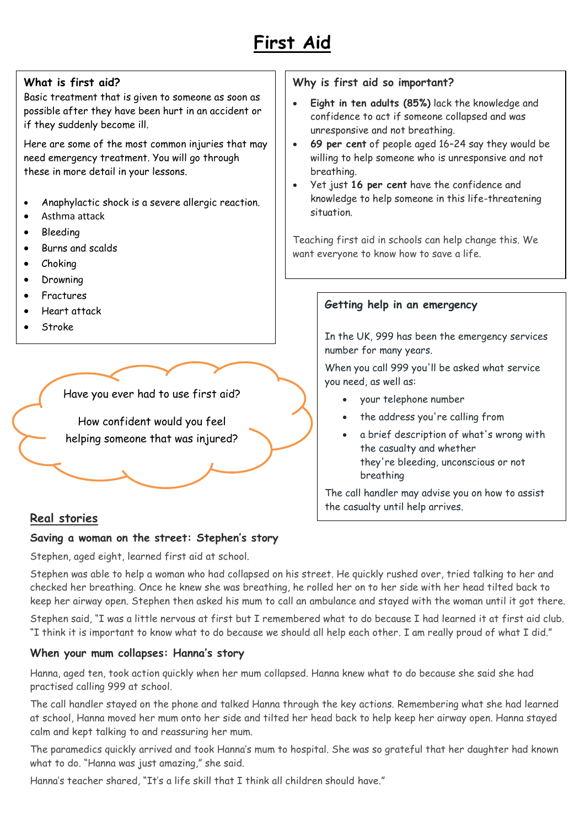

# **What is first aid?**

Basic treatment that is given to someone as soon as possible after they have been hurt in an accident or if they suddenly become ill.

Here are some of the most common injuries that may need emergency treatment. You will go through these in more detail in your lessons.

- Anaphylactic shock is a severe allergic reaction.
- Asthma attack
- Bleeding
- Burns and scalds
- Choking
- Drowning
- Fractures
- Heart attack
- Stroke

Have you ever had to use first aid?

How confident would you feel helping someone that was injured?

### **Real stories**

#### **Saving a woman on the street: Stephen's story**

Stephen, aged eight, learned first aid at school.

Stephen was able to help a woman who had collapsed on his street. He quickly rushed over, tried talking to her and checked her breathing. Once he knew she was breathing, he rolled her on to her side with her head tilted back to keep her airway open. Stephen then asked his mum to call an ambulance and stayed with the woman until it got there.

Stephen said, "I was a little nervous at first but I remembered what to do because I had learned it at first aid club. "I think it is important to know what to do because we should all help each other. I am really proud of what I did."

#### **When your mum collapses: Hanna's story**

Hanna, aged ten, took action quickly when her mum collapsed. Hanna knew what to do because she said she had practised calling 999 at school.

The call handler stayed on the phone and talked Hanna through the key actions. Remembering what she had learned at school, Hanna moved her mum onto her side and tilted her head back to help keep her airway open. Hanna stayed calm and kept talking to and reassuring her mum.

The paramedics quickly arrived and took Hanna's mum to hospital. She was so grateful that her daughter had known what to do. "Hanna was just amazing," she said.

Hanna's teacher shared, "It's a life skill that I think all children should have."

#### **Why is first aid so important?**

- **Eight in ten adults (85%)** lack the knowledge and confidence to act if someone collapsed and was unresponsive and not breathing.
- **69 per cent** of people aged 16–24 say they would be willing to help someone who is unresponsive and not breathing.
- Yet just **16 per cent** have the confidence and knowledge to help someone in this life-threatening situation.

Teaching first aid in schools can help change this. We want everyone to know how to save a life.

#### **Getting help in an emergency**

In the UK, 999 has been the emergency services number for many years.

When you call 999 you'll be asked what service you need, as well as:

- your telephone number
- the address you're calling from
- a brief description of what's wrong with the casualty and whether they're bleeding, unconscious or not breathing

The call handler may advise you on how to assist the casualty until help arrives.